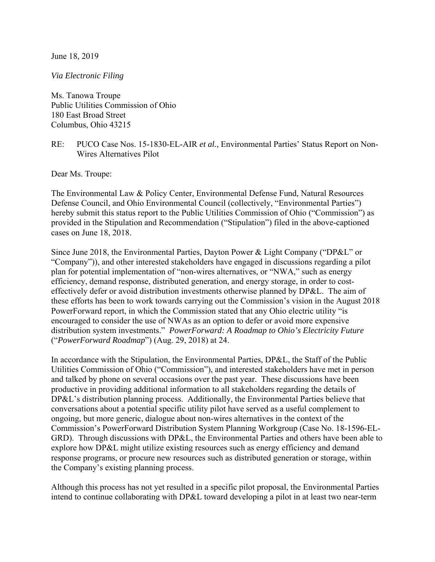June 18, 2019

*Via Electronic Filing*

Ms. Tanowa Troupe Public Utilities Commission of Ohio 180 East Broad Street Columbus, Ohio 43215

RE: PUCO Case Nos. 15-1830-EL-AIR *et al.*, Environmental Parties' Status Report on Non-Wires Alternatives Pilot

Dear Ms. Troupe:

The Environmental Law & Policy Center, Environmental Defense Fund, Natural Resources Defense Council, and Ohio Environmental Council (collectively, "Environmental Parties") hereby submit this status report to the Public Utilities Commission of Ohio ("Commission") as provided in the Stipulation and Recommendation ("Stipulation") filed in the above-captioned cases on June 18, 2018.

Since June 2018, the Environmental Parties, Dayton Power & Light Company ("DP&L" or "Company")), and other interested stakeholders have engaged in discussions regarding a pilot plan for potential implementation of "non-wires alternatives, or "NWA," such as energy efficiency, demand response, distributed generation, and energy storage, in order to costeffectively defer or avoid distribution investments otherwise planned by DP&L. The aim of these efforts has been to work towards carrying out the Commission's vision in the August 2018 PowerForward report, in which the Commission stated that any Ohio electric utility "is encouraged to consider the use of NWAs as an option to defer or avoid more expensive distribution system investments." *PowerForward: A Roadmap to Ohio's Electricity Future*  ("*PowerForward Roadmap*") (Aug. 29, 2018) at 24.

In accordance with the Stipulation, the Environmental Parties, DP&L, the Staff of the Public Utilities Commission of Ohio ("Commission"), and interested stakeholders have met in person and talked by phone on several occasions over the past year. These discussions have been productive in providing additional information to all stakeholders regarding the details of DP&L's distribution planning process. Additionally, the Environmental Parties believe that conversations about a potential specific utility pilot have served as a useful complement to ongoing, but more generic, dialogue about non-wires alternatives in the context of the Commission's PowerForward Distribution System Planning Workgroup (Case No. 18-1596-EL-GRD). Through discussions with DP&L, the Environmental Parties and others have been able to explore how DP&L might utilize existing resources such as energy efficiency and demand response programs, or procure new resources such as distributed generation or storage, within the Company's existing planning process.

Although this process has not yet resulted in a specific pilot proposal, the Environmental Parties intend to continue collaborating with DP&L toward developing a pilot in at least two near-term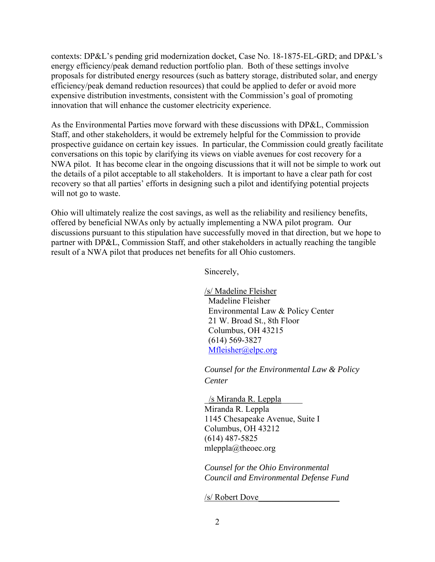contexts: DP&L's pending grid modernization docket, Case No. 18-1875-EL-GRD; and DP&L's energy efficiency/peak demand reduction portfolio plan. Both of these settings involve proposals for distributed energy resources (such as battery storage, distributed solar, and energy efficiency/peak demand reduction resources) that could be applied to defer or avoid more expensive distribution investments, consistent with the Commission's goal of promoting innovation that will enhance the customer electricity experience.

As the Environmental Parties move forward with these discussions with DP&L, Commission Staff, and other stakeholders, it would be extremely helpful for the Commission to provide prospective guidance on certain key issues. In particular, the Commission could greatly facilitate conversations on this topic by clarifying its views on viable avenues for cost recovery for a NWA pilot. It has become clear in the ongoing discussions that it will not be simple to work out the details of a pilot acceptable to all stakeholders. It is important to have a clear path for cost recovery so that all parties' efforts in designing such a pilot and identifying potential projects will not go to waste.

Ohio will ultimately realize the cost savings, as well as the reliability and resiliency benefits, offered by beneficial NWAs only by actually implementing a NWA pilot program. Our discussions pursuant to this stipulation have successfully moved in that direction, but we hope to partner with DP&L, Commission Staff, and other stakeholders in actually reaching the tangible result of a NWA pilot that produces net benefits for all Ohio customers.

Sincerely,

/s/ Madeline Fleisher Madeline Fleisher Environmental Law & Policy Center 21 W. Broad St., 8th Floor Columbus, OH 43215 (614) 569-3827 Mfleisher@elpc.org

*Counsel for the Environmental Law & Policy Center*

\_/s Miranda R. Leppla\_\_\_\_\_ Miranda R. Leppla 1145 Chesapeake Avenue, Suite I Columbus, OH 43212 (614) 487-5825 mleppla@theoec.org

*Counsel for the Ohio Environmental Council and Environmental Defense Fund* 

/s/ Robert Dove\_\_\_\_\_\_\_\_\_\_\_\_\_\_\_\_\_\_\_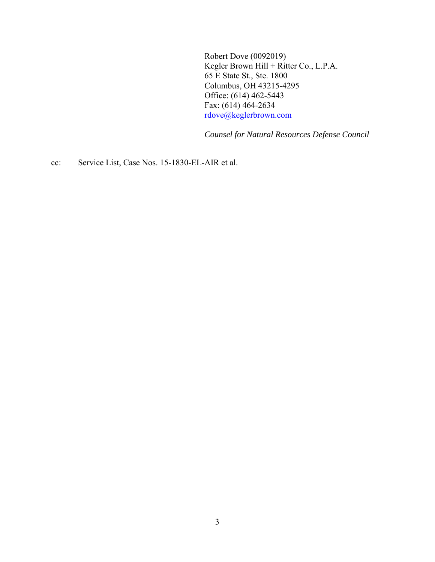Robert Dove (0092019) Kegler Brown Hill + Ritter Co., L.P.A. 65 E State St., Ste. 1800 Columbus, OH 43215-4295 Office: (614) 462-5443 Fax: (614) 464-2634 rdove@keglerbrown.com

*Counsel for Natural Resources Defense Council*

cc: Service List, Case Nos. 15-1830-EL-AIR et al.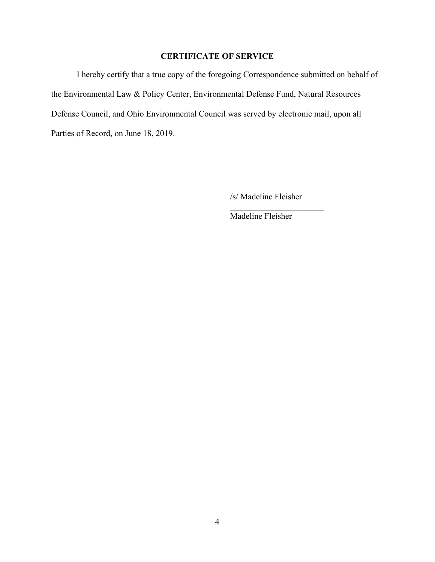## **CERTIFICATE OF SERVICE**

I hereby certify that a true copy of the foregoing Correspondence submitted on behalf of the Environmental Law & Policy Center, Environmental Defense Fund, Natural Resources Defense Council, and Ohio Environmental Council was served by electronic mail, upon all Parties of Record, on June 18, 2019.

/s/ Madeline Fleisher

Madeline Fleisher